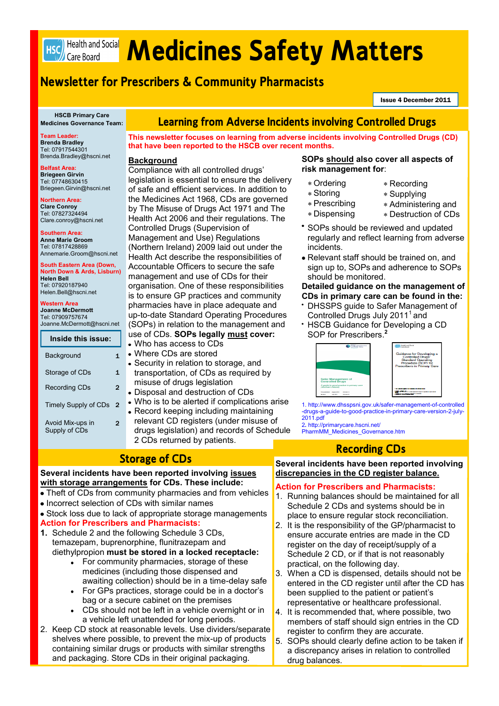

# HSC) Health and Social **Medicines Safety Matters**

# **Newsletter for Prescribers & Community Pharmacists**

Issue 4 December 2011

**HSCB Primary Care Medicines Governance Team:**

**Team Leader: Brenda Bradley**  Tel: 07917544301 Brenda.Bradley@hscni.net

**Belfast Area: Briegeen Girvin**  Tel: 07748630415 Briegeen.Girvin@hscni.net

**Northern Area: Clare Conroy**  Tel: 07827324494 Clare.conroy@hscni.net **Southern Area: Anne Marie Groom**  Tel: 07817428869

**Helen Bell**  Tel: 07920187940 Helen.Bell@hscni.net **Western Area Joanne McDermott**  Tel: 07909757674

Annemarie.Groom@hscni.net **South Eastern Area (Down, North Down & Ards, Lisburn)** 

Joanne.McDermott@hscni.net

**Inside this issue:** Background 1

Storage of CDs 1 Recording CDs 2

Timely Supply of CDs 2

Avoid Mix-ups in

# **Learning from Adverse Incidents involving Controlled Drugs**

**This newsletter focuses on learning from adverse incidents involving Controlled Drugs (CD) that have been reported to the HSCB over recent months.** 

## **Background**

Compliance with all controlled drugs' legislation is essential to ensure the delivery of safe and efficient services. In addition to the Medicines Act 1968, CDs are governed by The Misuse of Drugs Act 1971 and The Health Act 2006 and their regulations. The Controlled Drugs (Supervision of Management and Use) Regulations (Northern Ireland) 2009 laid out under the Health Act describe the responsibilities of Accountable Officers to secure the safe management and use of CDs for their organisation. One of these responsibilities is to ensure GP practices and community pharmacies have in place adequate and up-to-date Standard Operating Procedures (SOPs) in relation to the management and use of CDs. **SOPs legally must cover:**

- Who has access to CDs
- Where CDs are stored
- Security in relation to storage, and transportation, of CDs as required by misuse of drugs legislation
- Disposal and destruction of CDs
- Who is to be alerted if complications arise • Record keeping including maintaining
- relevant CD registers (under misuse of drugs legislation) and records of Schedule 2 CDs returned by patients.

### **SOPs should also cover all aspects of risk management for**:

- Ordering
- Storing
- Prescribing
- Dispensing
- Administering and

Recording Supplying

- Destruction of CDs
- \* SOPs should be reviewed and updated regularly and reflect learning from adverse incidents.
- sign up to, SOPs and adherence to SOPs should be monitored.

# **Detailed guidance on the management of**

- DHSSPS guide to Safer Management of
- HSCB Guidance for Developing a CD
- SOP for Prescribers. **2**



1. http://www.dhsspsni.gov.uk/safer-management-of-controlled -drugs-a-guide-to-good-practice-in-primary-care-version-2-july-2011.pdf

2*.* http://primarycare.hscni.net/ PharmMM\_Medicines\_Governance.htm

# **Recording CDs**

**Several incidents have been reported involving discrepancies in the CD register balance.** 

### **Action for Prescribers and Pharmacists:**

- 1. Running balances should be maintained for all Schedule 2 CDs and systems should be in place to ensure regular stock reconciliation.
- 2. It is the responsibility of the GP/pharmacist to ensure accurate entries are made in the CD register on the day of receipt/supply of a Schedule 2 CD, or if that is not reasonably practical, on the following day.
- 3. When a CD is dispensed, details should not be entered in the CD register until after the CD has been supplied to the patient or patient's representative or healthcare professional.
- 4. It is recommended that, where possible, two members of staff should sign entries in the CD register to confirm they are accurate.
- 5. SOPs should clearly define action to be taken if a discrepancy arises in relation to controlled drug balances.

Supply of CDs

 $\overline{2}$ 

# **Storage of CDs**

### **Several incidents have been reported involving issues with storage arrangements for CDs. These include:**

- Theft of CDs from community pharmacies and from vehicles
- Incorrect selection of CDs with similar names
- Stock loss due to lack of appropriate storage managements **Action for Prescribers and Pharmacists:**
- **1.** Schedule 2 and the following Schedule 3 CDs, temazepam, buprenorphine, flunitrazepam and diethylpropion **must be stored in a locked receptacle:**
	- For community pharmacies, storage of these medicines (including those dispensed and awaiting collection) should be in a time-delay safe
	- For GPs practices, storage could be in a doctor's bag or a secure cabinet on the premises
	- CDs should not be left in a vehicle overnight or in a vehicle left unattended for long periods.
- 2. Keep CD stock at reasonable levels. Use dividers/separate shelves where possible, to prevent the mix-up of products containing similar drugs or products with similar strengths and packaging. Store CDs in their original packaging.

- 
- Relevant staff should be trained on, and

# **CDs in primary care can be found in the:**

- Controlled Drugs July 2011<sup>1</sup> and
-